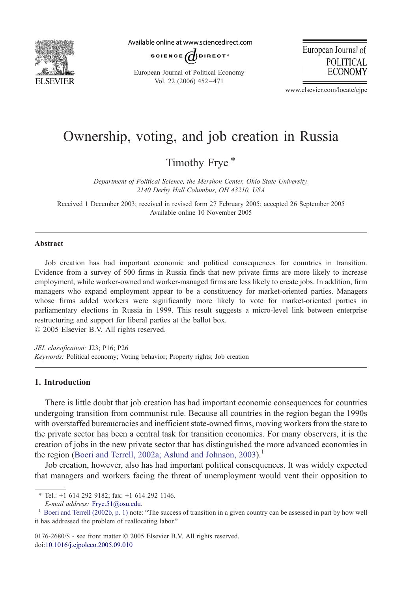

Available online at www.sciencedirect.com

SCIENCE  $\bigoplus$  DIRECT<sup>\*</sup>

European Journal of Political Economy Vol. 22 (2006) 452 – 471

European Journal of POLITICAL **ECONOMY** 

www.elsevier.com/locate/ejpe

# Ownership, voting, and job creation in Russia

Timothy Frye \*

Department of Political Science, the Mershon Center, Ohio State University, 2140 Derby Hall Columbus, OH 43210, USA

Received 1 December 2003; received in revised form 27 February 2005; accepted 26 September 2005 Available online 10 November 2005

#### Abstract

Job creation has had important economic and political consequences for countries in transition. Evidence from a survey of 500 firms in Russia finds that new private firms are more likely to increase employment, while worker-owned and worker-managed firms are less likely to create jobs. In addition, firm managers who expand employment appear to be a constituency for market-oriented parties. Managers whose firms added workers were significantly more likely to vote for market-oriented parties in parliamentary elections in Russia in 1999. This result suggests a micro-level link between enterprise restructuring and support for liberal parties at the ballot box.  $© 2005 Elsevier B.V. All rights reserved.$ 

JEL classification: J23; P16; P26 Keywords: Political economy; Voting behavior; Property rights; Job creation

## 1. Introduction

There is little doubt that job creation has had important economic consequences for countries undergoing transition from communist rule. Because all countries in the region began the 1990s with overstaffed bureaucracies and inefficient state-owned firms, moving workers from the state to the private sector has been a central task for transition economies. For many observers, it is the creation of jobs in the new private sector that has distinguished the more advanced economies in the region ([Boeri and Terrell, 2002a;](#page-18-0) [Aslund and Johnson, 2003\).](#page-17-0)<sup>1</sup>

Job creation, however, also has had important political consequences. It was widely expected that managers and workers facing the threat of unemployment would vent their opposition to

0176-2680/\$ - see front matter © 2005 Elsevier B.V. All rights reserved. [doi:10.1016/j.ejpoleco.2005.09.010](http://dx.doi.org/10.1016/j.ejpoleco.2005.09.010)

<sup>\*</sup> Tel.: +1 614 292 9182; fax: +1 614 292 1146.

E-mail address: [Frye.51@osu.edu.](mailto:Frye.51@osu.edu)<br><sup>1</sup> [Boeri and Terrell \(2002b, p. 1\)](#page-18-0) note: "The success of transition in a given country can be assessed in part by how well it has addressed the problem of reallocating labor."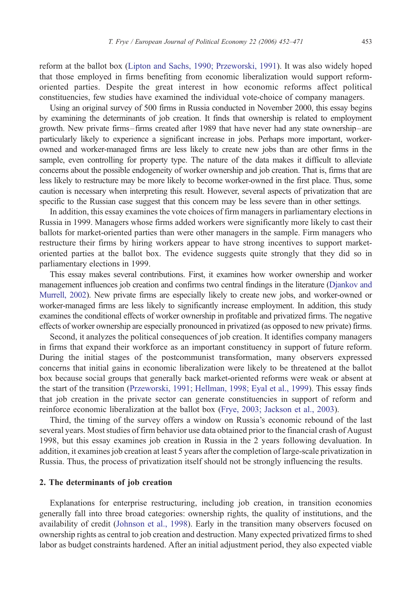reform at the ballot box [\(Lipton and Sachs, 1990;](#page-18-0) [Przeworski, 1991\)](#page-19-0). It was also widely hoped that those employed in firms benefiting from economic liberalization would support reformoriented parties. Despite the great interest in how economic reforms affect political constituencies, few studies have examined the individual vote-choice of company managers.

Using an original survey of 500 firms in Russia conducted in November 2000, this essay begins by examining the determinants of job creation. It finds that ownership is related to employment growth. New private firms–firms created after 1989 that have never had any state ownership–are particularly likely to experience a significant increase in jobs. Perhaps more important, workerowned and worker-managed firms are less likely to create new jobs than are other firms in the sample, even controlling for property type. The nature of the data makes it difficult to alleviate concerns about the possible endogeneity of worker ownership and job creation. That is, firms that are less likely to restructure may be more likely to become worker-owned in the first place. Thus, some caution is necessary when interpreting this result. However, several aspects of privatization that are specific to the Russian case suggest that this concern may be less severe than in other settings.

In addition, this essay examines the vote choices of firm managers in parliamentary elections in Russia in 1999. Managers whose firms added workers were significantly more likely to cast their ballots for market-oriented parties than were other managers in the sample. Firm managers who restructure their firms by hiring workers appear to have strong incentives to support marketoriented parties at the ballot box. The evidence suggests quite strongly that they did so in parliamentary elections in 1999.

This essay makes several contributions. First, it examines how worker ownership and worker management influences job creation and confirms two central findings in the literature ([Djankov and](#page-18-0) Murrell, 2002). New private firms are especially likely to create new jobs, and worker-owned or worker-managed firms are less likely to significantly increase employment. In addition, this study examines the conditional effects of worker ownership in profitable and privatized firms. The negative effects of worker ownership are especially pronounced in privatized (as opposed to new private) firms.

Second, it analyzes the political consequences of job creation. It identifies company managers in firms that expand their workforce as an important constituency in support of future reform. During the initial stages of the postcommunist transformation, many observers expressed concerns that initial gains in economic liberalization were likely to be threatened at the ballot box because social groups that generally back market-oriented reforms were weak or absent at the start of the transition [\(Przeworski, 1991;](#page-19-0) [Hellman, 1998;](#page-18-0) [Eyal et al., 1999\)](#page-18-0). This essay finds that job creation in the private sector can generate constituencies in support of reform and reinforce economic liberalization at the ballot box ([Frye, 2003; Jackson et al., 2003\)](#page-18-0).

Third, the timing of the survey offers a window on Russia's economic rebound of the last several years. Most studies of firm behavior use data obtained prior to the financial crash of August 1998, but this essay examines job creation in Russia in the 2 years following devaluation. In addition, it examines job creation at least 5 years after the completion of large-scale privatization in Russia. Thus, the process of privatization itself should not be strongly influencing the results.

## 2. The determinants of job creation

Explanations for enterprise restructuring, including job creation, in transition economies generally fall into three broad categories: ownership rights, the quality of institutions, and the availability of credit ([Johnson et al., 1998\)](#page-18-0). Early in the transition many observers focused on ownership rights as central to job creation and destruction. Many expected privatized firms to shed labor as budget constraints hardened. After an initial adjustment period, they also expected viable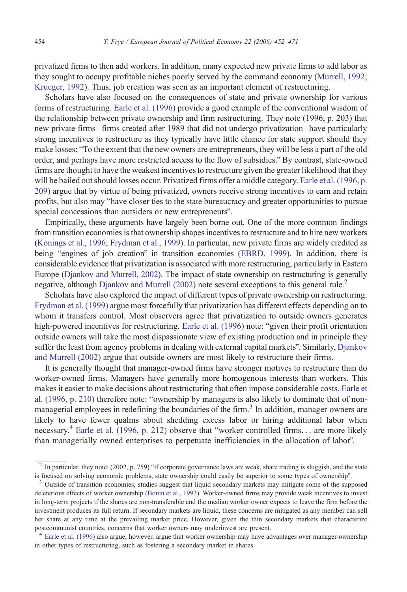privatized firms to then add workers. In addition, many expected new private firms to add labor as they sought to occupy profitable niches poorly served by the command economy ([Murrell, 1992;](#page-19-0) [Krueger, 1992\)](#page-18-0). Thus, job creation was seen as an important element of restructuring.

Scholars have also focused on the consequences of state and private ownership for various forms of restructuring. [Earle et al. \(1996\)](#page-18-0) provide a good example of the conventional wisdom of the relationship between private ownership and firm restructuring. They note (1996, p. 203) that new private firms – firms created after 1989 that did not undergo privatization – have particularly strong incentives to restructure as they typically have little chance for state support should they make losses: "To the extent that the new owners are entrepreneurs, they will be less a part of the old order, and perhaps have more restricted access to the flow of subsidies." By contrast, state-owned firms are thought to have the weakest incentives to restructure given the greater likelihood that they will be bailed out should losses occur. Privatized firms offer a middle category. [Earle et al. \(1996, p.](#page-18-0) 209) argue that by virtue of being privatized, owners receive strong incentives to earn and retain profits, but also may "have closer ties to the state bureaucracy and greater opportunities to pursue special concessions than outsiders or new entrepreneurs".

Empirically, these arguments have largely been borne out. One of the more common findings from transition economies is that ownership shapes incentives to restructure and to hire new workers [\(Konings et al., 1996;](#page-18-0) [Frydman et al., 1999\).](#page-18-0) In particular, new private firms are widely credited as being "engines of job creation" in transition economies [\(EBRD, 1999\).](#page-18-0) In addition, there is considerable evidence that privatization is associated with more restructuring, particularly in Eastern Europe ([Djankov and Murrell, 2002\)](#page-18-0). The impact of state ownership on restructuring is generally negative, although [Djankov and Murrell \(2002\)](#page-18-0) note several exceptions to this general rule.<sup>2</sup>

Scholars have also explored the impact of different types of private ownership on restructuring. [Frydman et al. \(1999\)](#page-18-0) argue most forcefully that privatization has different effects depending on to whom it transfers control. Most observers agree that privatization to outside owners generates high-powered incentives for restructuring. [Earle et al. \(1996\)](#page-18-0) note: "given their profit orientation outside owners will take the most dispassionate view of existing production and in principle they suffer the least from agency problems in dealing with external capital markets". Similarly, [Djankov](#page-18-0) and Murrell (2002) argue that outside owners are most likely to restructure their firms.

It is generally thought that manager-owned firms have stronger motives to restructure than do worker-owned firms. Managers have generally more homogenous interests than workers. This makes it easier to make decisions about restructuring that often impose considerable costs. [Earle et](#page-18-0) al. (1996, p. 210) therefore note: "ownership by managers is also likely to dominate that of nonmanagerial employees in redefining the boundaries of the firm.<sup>3</sup> In addition, manager owners are likely to have fewer qualms about shedding excess labor or hiring additional labor when necessary.<sup>4</sup> [Earle et al. \(1996, p. 212\)](#page-18-0) observe that "worker controlled firms... are more likely than managerially owned enterprises to perpetuate inefficiencies in the allocation of labor".

 $2$  In particular, they note: (2002, p. 759) "if corporate governance laws are weak, share trading is sluggish, and the state is focused on solving economic problems, state ownership could easily be superior to some types of ownership".<br><sup>3</sup> Outside of transition economies, studies suggest that liquid secondary markets may mitigate some of the sup

deleterious effects of worker ownership ([Bonin et al., 1993\)](#page-18-0). Worker-owned firms may provide weak incentives to invest in long-term projects if the shares are non-transferable and the median worker owner expects to leave the firm before the investment produces its full return. If secondary markets are liquid, these concerns are mitigated as any member can sell her share at any time at the prevailing market price. However, given the thin secondary markets that characterize postcommunist countries, concerns that worker owners may underinvest are present.

<sup>4</sup> [Earle et al. \(1996\)](#page-18-0) also argue, however, argue that worker ownership may have advantages over manager-ownership in other types of restructuring, such as fostering a secondary market in shares.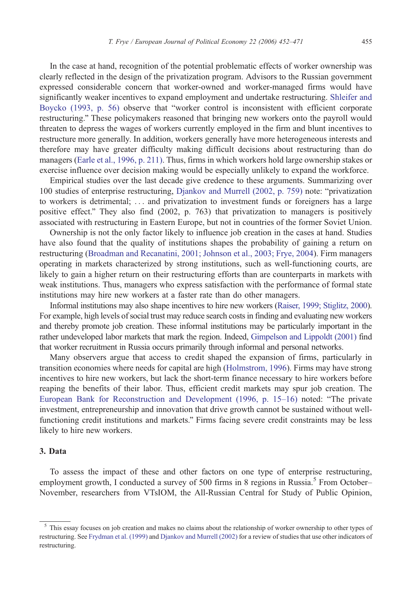In the case at hand, recognition of the potential problematic effects of worker ownership was clearly reflected in the design of the privatization program. Advisors to the Russian government expressed considerable concern that worker-owned and worker-managed firms would have significantly weaker incentives to expand employment and undertake restructuring. [Shleifer and](#page-19-0) Boycko (1993, p. 56) observe that "worker control is inconsistent with efficient corporate restructuring." These policymakers reasoned that bringing new workers onto the payroll would threaten to depress the wages of workers currently employed in the firm and blunt incentives to restructure more generally. In addition, workers generally have more heterogeneous interests and therefore may have greater difficulty making difficult decisions about restructuring than do managers [\(Earle et al., 1996, p. 211\)](#page-18-0). Thus, firms in which workers hold large ownership stakes or exercise influence over decision making would be especially unlikely to expand the workforce.

Empirical studies over the last decade give credence to these arguments. Summarizing over 100 studies of enterprise restructuring, [Djankov and Murrell \(2002, p. 759\)](#page-18-0) note: "privatization to workers is detrimental; ... and privatization to investment funds or foreigners has a large positive effect." They also find  $(2002, p. 763)$  that privatization to managers is positively associated with restructuring in Eastern Europe, but not in countries of the former Soviet Union.

Ownership is not the only factor likely to influence job creation in the cases at hand. Studies have also found that the quality of institutions shapes the probability of gaining a return on restructuring [\(Broadman and Recanatini, 2001; Johnson et al., 2003;](#page-18-0) [Frye, 2004\).](#page-18-0) Firm managers operating in markets characterized by strong institutions, such as well-functioning courts, are likely to gain a higher return on their restructuring efforts than are counterparts in markets with weak institutions. Thus, managers who express satisfaction with the performance of formal state institutions may hire new workers at a faster rate than do other managers.

Informal institutions may also shape incentives to hire new workers [\(Raiser, 1999; Stiglitz, 2000\).](#page-19-0) For example, high levels of social trust may reduce search costs in finding and evaluating new workers and thereby promote job creation. These informal institutions may be particularly important in the rather undeveloped labor markets that mark the region. Indeed, [Gimpelson and Lippoldt \(2001\)](#page-18-0) find that worker recruitment in Russia occurs primarily through informal and personal networks.

Many observers argue that access to credit shaped the expansion of firms, particularly in transition economies where needs for capital are high ([Holmstrom, 1996\).](#page-18-0) Firms may have strong incentives to hire new workers, but lack the short-term finance necessary to hire workers before reaping the benefits of their labor. Thus, efficient credit markets may spur job creation. The European Bank for Reconstruction and Development  $(1996, p. 15-16)$  noted: "The private investment, entrepreneurship and innovation that drive growth cannot be sustained without wellfunctioning credit institutions and markets." Firms facing severe credit constraints may be less likely to hire new workers.

### 3. Data

To assess the impact of these and other factors on one type of enterprise restructuring, employment growth, I conducted a survey of 500 firms in 8 regions in Russia.<sup>5</sup> From October– November, researchers from VTsIOM, the All-Russian Central for Study of Public Opinion,

<sup>&</sup>lt;sup>5</sup> This essay focuses on job creation and makes no claims about the relationship of worker ownership to other types of restructuring. See [Frydman et al. \(1999\)](#page-18-0) and [Djankov and Murrell \(2002\)](#page-18-0) for a review of studies that use other indicators of restructuring.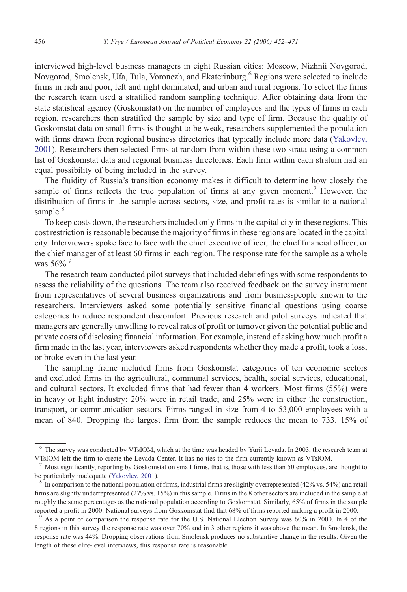interviewed high-level business managers in eight Russian cities: Moscow, Nizhnii Novgorod, Novgorod, Smolensk, Ufa, Tula, Voronezh, and Ekaterinburg.6 Regions were selected to include firms in rich and poor, left and right dominated, and urban and rural regions. To select the firms the research team used a stratified random sampling technique. After obtaining data from the state statistical agency (Goskomstat) on the number of employees and the types of firms in each region, researchers then stratified the sample by size and type of firm. Because the quality of Goskomstat data on small firms is thought to be weak, researchers supplemented the population with firms drawn from regional business directories that typically include more data [\(Yakovlev,](#page-19-0) 2001). Researchers then selected firms at random from within these two strata using a common list of Goskomstat data and regional business directories. Each firm within each stratum had an equal possibility of being included in the survey.

The fluidity of Russia's transition economy makes it difficult to determine how closely the sample of firms reflects the true population of firms at any given moment.<sup>7</sup> However, the distribution of firms in the sample across sectors, size, and profit rates is similar to a national sample. $8$ 

To keep costs down, the researchers included only firms in the capital city in these regions. This cost restriction is reasonable because the majority of firms in these regions are located in the capital city. Interviewers spoke face to face with the chief executive officer, the chief financial officer, or the chief manager of at least 60 firms in each region. The response rate for the sample as a whole was  $56\%$ <sup>9</sup>

The research team conducted pilot surveys that included debriefings with some respondents to assess the reliability of the questions. The team also received feedback on the survey instrument from representatives of several business organizations and from businesspeople known to the researchers. Interviewers asked some potentially sensitive financial questions using coarse categories to reduce respondent discomfort. Previous research and pilot surveys indicated that managers are generally unwilling to reveal rates of profit or turnover given the potential public and private costs of disclosing financial information. For example, instead of asking how much profit a firm made in the last year, interviewers asked respondents whether they made a profit, took a loss, or broke even in the last year.

The sampling frame included firms from Goskomstat categories of ten economic sectors and excluded firms in the agricultural, communal services, health, social services, educational, and cultural sectors. It excluded firms that had fewer than 4 workers. Most firms (55%) were in heavy or light industry; 20% were in retail trade; and 25% were in either the construction, transport, or communication sectors. Firms ranged in size from 4 to 53,000 employees with a mean of 840. Dropping the largest firm from the sample reduces the mean to 733. 15% of

<sup>6</sup> The survey was conducted by VTsIOM, which at the time was headed by Yurii Levada. In 2003, the research team at VTsIOM left the firm to create the Levada Center. It has no ties to the firm currently known as VTsIOM.

 $<sup>7</sup>$  Most significantly, reporting by Goskomstat on small firms, that is, those with less than 50 employees, are thought to</sup> be particularly inadequate [\(Yakovlev, 2001\).](#page-19-0)<br><sup>8</sup> In comparison to the national population of firms, industrial firms are slightly overrepresented (42% vs. 54%) and retail

firms are slightly underrepresented (27% vs. 15%) in this sample. Firms in the 8 other sectors are included in the sample at roughly the same percentages as the national population according to Goskomstat. Similarly, 65% of firms in the sample reported a profit in 2000. National surveys from Goskomstat find that 68% of firms reported making a profit in 2000.

<sup>9</sup> As a point of comparison the response rate for the U.S. National Election Survey was 60% in 2000. In 4 of the 8 regions in this survey the response rate was over 70% and in 3 other regions it was above the mean. In Smolensk, the response rate was 44%. Dropping observations from Smolensk produces no substantive change in the results. Given the length of these elite-level interviews, this response rate is reasonable.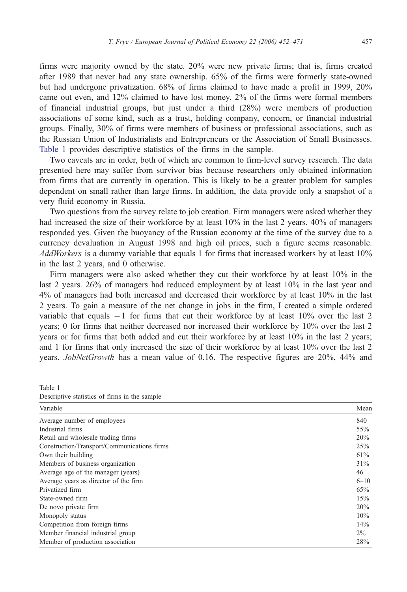firms were majority owned by the state. 20% were new private firms; that is, firms created after 1989 that never had any state ownership. 65% of the firms were formerly state-owned but had undergone privatization. 68% of firms claimed to have made a profit in 1999, 20% came out even, and 12% claimed to have lost money. 2% of the firms were formal members of financial industrial groups, but just under a third (28%) were members of production associations of some kind, such as a trust, holding company, concern, or financial industrial groups. Finally, 30% of firms were members of business or professional associations, such as the Russian Union of Industrialists and Entrepreneurs or the Association of Small Businesses. Table 1 provides descriptive statistics of the firms in the sample.

Two caveats are in order, both of which are common to firm-level survey research. The data presented here may suffer from survivor bias because researchers only obtained information from firms that are currently in operation. This is likely to be a greater problem for samples dependent on small rather than large firms. In addition, the data provide only a snapshot of a very fluid economy in Russia.

Two questions from the survey relate to job creation. Firm managers were asked whether they had increased the size of their workforce by at least 10% in the last 2 years. 40% of managers responded yes. Given the buoyancy of the Russian economy at the time of the survey due to a currency devaluation in August 1998 and high oil prices, such a figure seems reasonable.  $AddWorks$  is a dummy variable that equals 1 for firms that increased workers by at least  $10\%$ in the last 2 years, and 0 otherwise.

Firm managers were also asked whether they cut their workforce by at least 10% in the last 2 years. 26% of managers had reduced employment by at least 10% in the last year and 4% of managers had both increased and decreased their workforce by at least 10% in the last 2 years. To gain a measure of the net change in jobs in the firm, I created a simple ordered variable that equals  $-1$  for firms that cut their workforce by at least 10% over the last 2 years; 0 for firms that neither decreased nor increased their workforce by 10% over the last 2 years or for firms that both added and cut their workforce by at least 10% in the last 2 years; and 1 for firms that only increased the size of their workforce by at least 10% over the last 2 years. JobNetGrowth has a mean value of 0.16. The respective figures are 20%, 44% and

| Variable                                    | Mean     |
|---------------------------------------------|----------|
| Average number of employees                 | 840      |
| Industrial firms                            | 55%      |
| Retail and wholesale trading firms          | 20%      |
| Construction/Transport/Communications firms | 25%      |
| Own their building                          | 61%      |
| Members of business organization            | 31%      |
| Average age of the manager (years)          | 46       |
| Average years as director of the firm       | $6 - 10$ |
| Privatized firm                             | 65%      |
| State-owned firm                            | 15%      |
| De novo private firm                        | 20%      |
| Monopoly status                             | 10%      |
| Competition from foreign firms              | 14%      |
| Member financial industrial group           | $2\%$    |
| Member of production association            | 28%      |

Table 1 Descriptive statistics of firms in the sample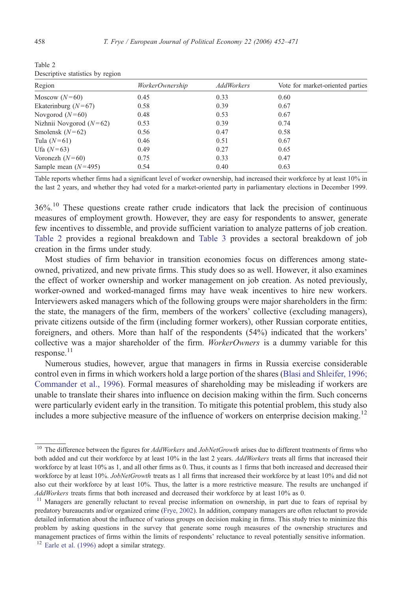| Region                    | WorkerOwnership | <b>AddWorkers</b> | Vote for market-oriented parties |  |  |  |
|---------------------------|-----------------|-------------------|----------------------------------|--|--|--|
| Moscow $(N=60)$           | 0.45            | 0.33              | 0.60                             |  |  |  |
| Ekaterinburg $(N=67)$     | 0.58            | 0.39              | 0.67                             |  |  |  |
| Novgorod $(N=60)$         | 0.48            | 0.53              | 0.67                             |  |  |  |
| Nizhnii Novgorod $(N=62)$ | 0.53            | 0.39              | 0.74                             |  |  |  |
| Smolensk $(N=62)$         | 0.56            | 0.47              | 0.58                             |  |  |  |
| Tula $(N=61)$             | 0.46            | 0.51              | 0.67                             |  |  |  |
| Ufa $(N=63)$              | 0.49            | 0.27              | 0.65                             |  |  |  |
| Voronezh $(N=60)$         | 0.75            | 0.33              | 0.47                             |  |  |  |
| Sample mean $(N=495)$     | 0.54            | 0.40              | 0.63                             |  |  |  |
|                           |                 |                   |                                  |  |  |  |

Table 2 Descriptive statistics by region

Table reports whether firms had a significant level of worker ownership, had increased their workforce by at least 10% in the last 2 years, and whether they had voted for a market-oriented party in parliamentary elections in December 1999.

36%.<sup>10</sup> These questions create rather crude indicators that lack the precision of continuous measures of employment growth. However, they are easy for respondents to answer, generate few incentives to dissemble, and provide sufficient variation to analyze patterns of job creation. Table 2 provides a regional breakdown and [Table 3](#page-7-0) provides a sectoral breakdown of job creation in the firms under study.

Most studies of firm behavior in transition economies focus on differences among stateowned, privatized, and new private firms. This study does so as well. However, it also examines the effect of worker ownership and worker management on job creation. As noted previously, worker-owned and worked-managed firms may have weak incentives to hire new workers. Interviewers asked managers which of the following groups were major shareholders in the firm: the state, the managers of the firm, members of the workers' collective (excluding managers), private citizens outside of the firm (including former workers), other Russian corporate entities, foreigners, and others. More than half of the respondents (54%) indicated that the workers' collective was a major shareholder of the firm. *WorkerOwners* is a dummy variable for this  $response.<sup>11</sup>$ 

Numerous studies, however, argue that managers in firms in Russia exercise considerable control even in firms in which workers hold a large portion of the shares ([Blasi and Shleifer, 1996;](#page-18-0) [Commander et al., 1996\).](#page-18-0) Formal measures of shareholding may be misleading if workers are unable to translate their shares into influence on decision making within the firm. Such concerns were particularly evident early in the transition. To mitigate this potential problem, this study also includes a more subjective measure of the influence of workers on enterprise decision making.<sup>12</sup>

 $10$  The difference between the figures for AddWorkers and JobNetGrowth arises due to different treatments of firms who both added and cut their workforce by at least 10% in the last 2 years. AddWorkers treats all firms that increased their workforce by at least 10% as 1, and all other firms as 0. Thus, it counts as 1 firms that both increased and decreased their workforce by at least 10%. JobNetGrowth treats as 1 all firms that increased their workforce by at least 10% and did not also cut their workforce by at least 10%. Thus, the latter is a more restrictive measure. The results are unchanged if AddWorkers treats firms that both increased and decreased their workforce by at least 10% as 0.

<sup>&</sup>lt;sup>11</sup> Managers are generally reluctant to reveal precise information on ownership, in part due to fears of reprisal by predatory bureaucrats and/or organized crime ([Frye, 2002\).](#page-18-0) In addition, company managers are often reluctant to provide detailed information about the influence of various groups on decision making in firms. This study tries to minimize this problem by asking questions in the survey that generate some rough measures of the ownership structures and management practices of firms within the limits of respondents' reluctance to reveal potentially sensitive information.

 $12$  [Earle et al. \(1996\)](#page-18-0) adopt a similar strategy.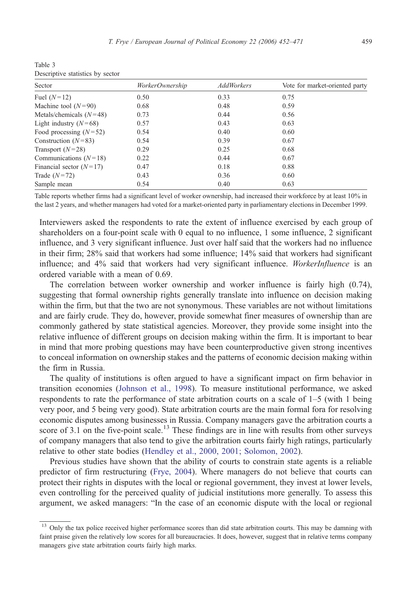| Descriptive statistics by sector |                   |                                |  |  |  |  |
|----------------------------------|-------------------|--------------------------------|--|--|--|--|
| WorkerOwnership                  | <b>AddWorkers</b> | Vote for market-oriented party |  |  |  |  |
| 0.50                             | 0.33              | 0.75                           |  |  |  |  |
| 0.68                             | 0.48              | 0.59                           |  |  |  |  |
| 0.73                             | 0.44              | 0.56                           |  |  |  |  |
| 0.57                             | 0.43              | 0.63                           |  |  |  |  |
| 0.54                             | 0.40              | 0.60                           |  |  |  |  |
| 0.54                             | 0.39              | 0.67                           |  |  |  |  |
| 0.29                             | 0.25              | 0.68                           |  |  |  |  |
| 0.22                             | 0.44              | 0.67                           |  |  |  |  |
| 0.47                             | 0.18              | 0.88                           |  |  |  |  |
| 0.43                             | 0.36              | 0.60                           |  |  |  |  |
| 0.54                             | 0.40              | 0.63                           |  |  |  |  |
|                                  |                   |                                |  |  |  |  |

<span id="page-7-0"></span>Table 3

Table reports whether firms had a significant level of worker ownership, had increased their workforce by at least 10% in the last 2 years, and whether managers had voted for a market-oriented party in parliamentary elections in December 1999.

Interviewers asked the respondents to rate the extent of influence exercised by each group of shareholders on a four-point scale with 0 equal to no influence, 1 some influence, 2 significant influence, and 3 very significant influence. Just over half said that the workers had no influence in their firm; 28% said that workers had some influence; 14% said that workers had significant influence; and 4% said that workers had very significant influence. WorkerInfluence is an ordered variable with a mean of 0.69.

The correlation between worker ownership and worker influence is fairly high (0.74), suggesting that formal ownership rights generally translate into influence on decision making within the firm, but that the two are not synonymous. These variables are not without limitations and are fairly crude. They do, however, provide somewhat finer measures of ownership than are commonly gathered by state statistical agencies. Moreover, they provide some insight into the relative influence of different groups on decision making within the firm. It is important to bear in mind that more probing questions may have been counterproductive given strong incentives to conceal information on ownership stakes and the patterns of economic decision making within the firm in Russia.

The quality of institutions is often argued to have a significant impact on firm behavior in transition economies [\(Johnson et al., 1998\).](#page-18-0) To measure institutional performance, we asked respondents to rate the performance of state arbitration courts on a scale of 1–5 (with 1 being very poor, and 5 being very good). State arbitration courts are the main formal fora for resolving economic disputes among businesses in Russia. Company managers gave the arbitration courts a score of  $3.1$  on the five-point scale.<sup>13</sup> These findings are in line with results from other surveys of company managers that also tend to give the arbitration courts fairly high ratings, particularly relative to other state bodies ([Hendley et al., 2000, 2001;](#page-18-0) [Solomon, 2002\).](#page-19-0)

Previous studies have shown that the ability of courts to constrain state agents is a reliable predictor of firm restructuring [\(Frye, 2004\).](#page-18-0) Where managers do not believe that courts can protect their rights in disputes with the local or regional government, they invest at lower levels, even controlling for the perceived quality of judicial institutions more generally. To assess this argument, we asked managers: "In the case of an economic dispute with the local or regional

<sup>&</sup>lt;sup>13</sup> Only the tax police received higher performance scores than did state arbitration courts. This may be damning with faint praise given the relatively low scores for all bureaucracies. It does, however, suggest that in relative terms company managers give state arbitration courts fairly high marks.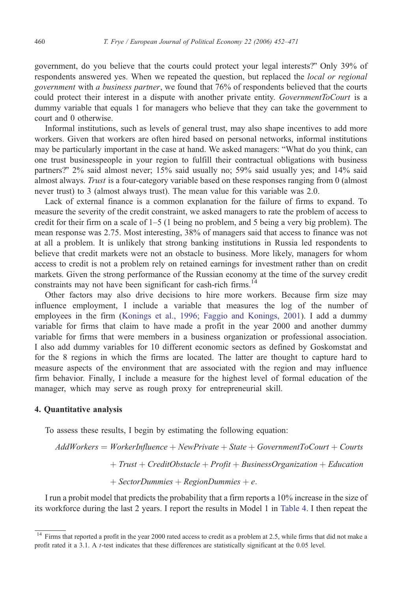government, do you believe that the courts could protect your legal interests?" Only 39% of respondents answered yes. When we repeated the question, but replaced the *local or regional* government with a business partner, we found that 76% of respondents believed that the courts could protect their interest in a dispute with another private entity. GovernmentToCourt is a dummy variable that equals 1 for managers who believe that they can take the government to court and 0 otherwise.

Informal institutions, such as levels of general trust, may also shape incentives to add more workers. Given that workers are often hired based on personal networks, informal institutions may be particularly important in the case at hand. We asked managers: "What do you think, can one trust businesspeople in your region to fulfill their contractual obligations with business partners?" 2% said almost never; 15% said usually no; 59% said usually yes; and 14% said almost always. Trust is a four-category variable based on these responses ranging from 0 (almost never trust) to 3 (almost always trust). The mean value for this variable was 2.0.

Lack of external finance is a common explanation for the failure of firms to expand. To measure the severity of the credit constraint, we asked managers to rate the problem of access to credit for their firm on a scale of 1–5 (1 being no problem, and 5 being a very big problem). The mean response was 2.75. Most interesting, 38% of managers said that access to finance was not at all a problem. It is unlikely that strong banking institutions in Russia led respondents to believe that credit markets were not an obstacle to business. More likely, managers for whom access to credit is not a problem rely on retained earnings for investment rather than on credit markets. Given the strong performance of the Russian economy at the time of the survey credit constraints may not have been significant for cash-rich firms.<sup>14</sup>

Other factors may also drive decisions to hire more workers. Because firm size may influence employment, I include a variable that measures the log of the number of employees in the firm [\(Konings et al., 1996; Faggio and Konings, 2001\)](#page-18-0). I add a dummy variable for firms that claim to have made a profit in the year 2000 and another dummy variable for firms that were members in a business organization or professional association. I also add dummy variables for 10 different economic sectors as defined by Goskomstat and for the 8 regions in which the firms are located. The latter are thought to capture hard to measure aspects of the environment that are associated with the region and may influence firm behavior. Finally, I include a measure for the highest level of formal education of the manager, which may serve as rough proxy for entrepreneurial skill.

#### 4. Quantitative analysis

To assess these results, I begin by estimating the following equation:

 $AddWorks = WorkerInfluence + NewPrivate + State + GovernmentToCountry + Courses$  $+ Trust + CreditObstack + Profit + Points of the systemization + Education$  $+$  SectorDummies  $+$  RegionDummies  $+$  e.

I run a probit model that predicts the probability that a firm reports a 10% increase in the size of its workforce during the last 2 years. I report the results in Model 1 in [Table 4.](#page-9-0) I then repeat the

<sup>&</sup>lt;sup>14</sup> Firms that reported a profit in the year 2000 rated access to credit as a problem at 2.5, while firms that did not make a profit rated it a 3.1. A t-test indicates that these differences are statistically significant at the 0.05 level.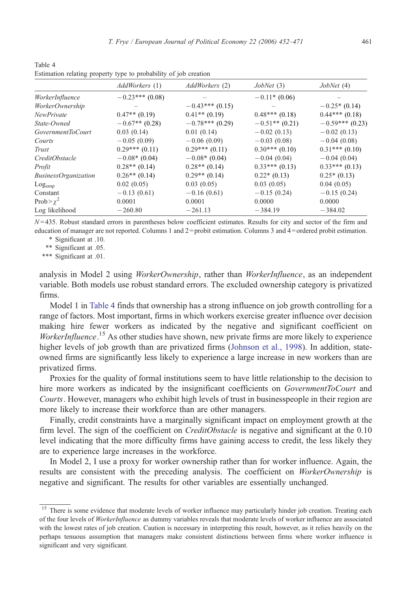|                             | AddWorkers (1)   | AddWorkers (2)   | JobNet(3)        | JobNet(4)        |  |  |
|-----------------------------|------------------|------------------|------------------|------------------|--|--|
| WorkerInfluence             | $-0.23***(0.08)$ |                  | $-0.11*$ (0.06)  |                  |  |  |
| WorkerOwnership             |                  | $-0.43***(0.15)$ | -                | $-0.25*(0.14)$   |  |  |
| <b>NewPrivate</b>           | $0.47**$ (0.19)  | $0.41**$ (0.19)  | $0.48***(0.18)$  | $0.44***(0.18)$  |  |  |
| State-Owned                 | $-0.67**$ (0.28) | $-0.78***(0.29)$ | $-0.51**$ (0.21) | $-0.59***(0.23)$ |  |  |
| GovernmentToCourt           | 0.03(0.14)       | 0.01(0.14)       | $-0.02(0.13)$    | $-0.02(0.13)$    |  |  |
| Courts                      | $-0.05(0.09)$    | $-0.06(0.09)$    | $-0.03(0.08)$    | $-0.04(0.08)$    |  |  |
| Trust                       | $0.29***(0.11)$  | $0.29***(0.11)$  | $0.30***(0.10)$  | $0.31***(0.10)$  |  |  |
| CreditObstacle              | $-0.08*(0.04)$   | $-0.08*(0.04)$   | $-0.04(0.04)$    | $-0.04(0.04)$    |  |  |
| Profit                      | $0.28**$ (0.14)  | $0.28**$ (0.14)  | $0.33***(0.13)$  | $0.33***(0.13)$  |  |  |
| <b>BusinessOrganization</b> | $0.26**$ (0.14)  | $0.29**$ (0.14)  | $0.22*(0.13)$    | $0.25*(0.13)$    |  |  |
| $Log_{emp}$                 | 0.02(0.05)       | 0.03(0.05)       | 0.03(0.05)       | 0.04(0.05)       |  |  |
| Constant                    | $-0.13(0.61)$    | $-0.16(0.61)$    | $-0.15(0.24)$    | $-0.15(0.24)$    |  |  |
| Prob > $\chi^2$             | 0.0001           | 0.0001           | 0.0000           | 0.0000           |  |  |
| Log likelihood              | $-260.80$        | $-261.13$        | $-384.19$        | $-384.02$        |  |  |

<span id="page-9-0"></span>Table 4 Estimation relating property type to probability of job creation

 $N=435$ . Robust standard errors in parentheses below coefficient estimates. Results for city and sector of the firm and education of manager are not reported. Columns 1 and  $2 =$  probit estimation. Columns 3 and  $4 =$  ordered probit estimation.

\* Significant at .10.

\*\* Significant at .05.

\*\*\* Significant at .01.

analysis in Model 2 using *WorkerOwnership*, rather than *WorkerInfluence*, as an independent variable. Both models use robust standard errors. The excluded ownership category is privatized firms.

Model 1 in Table 4 finds that ownership has a strong influence on job growth controlling for a range of factors. Most important, firms in which workers exercise greater influence over decision making hire fewer workers as indicated by the negative and significant coefficient on WorkerInfluence.<sup>15</sup> As other studies have shown, new private firms are more likely to experience higher levels of job growth than are privatized firms ([Johnson et al., 1998\).](#page-18-0) In addition, stateowned firms are significantly less likely to experience a large increase in new workers than are privatized firms.

Proxies for the quality of formal institutions seem to have little relationship to the decision to hire more workers as indicated by the insignificant coefficients on GovernmentToCourt and Courts. However, managers who exhibit high levels of trust in businesspeople in their region are more likely to increase their workforce than are other managers.

Finally, credit constraints have a marginally significant impact on employment growth at the firm level. The sign of the coefficient on *CreditObstacle* is negative and significant at the 0.10 level indicating that the more difficulty firms have gaining access to credit, the less likely they are to experience large increases in the workforce.

In Model 2, I use a proxy for worker ownership rather than for worker influence. Again, the results are consistent with the preceding analysis. The coefficient on *WorkerOwnership* is negative and significant. The results for other variables are essentially unchanged.

<sup>&</sup>lt;sup>15</sup> There is some evidence that moderate levels of worker influence may particularly hinder job creation. Treating each of the four levels of WorkerInfluence as dummy variables reveals that moderate levels of worker influence are associated with the lowest rates of job creation. Caution is necessary in interpreting this result, however, as it relies heavily on the perhaps tenuous assumption that managers make consistent distinctions between firms where worker influence is significant and very significant.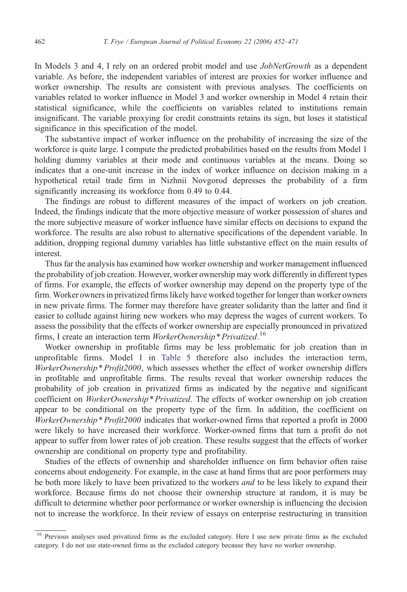In Models 3 and 4, I rely on an ordered probit model and use *JobNetGrowth* as a dependent variable. As before, the independent variables of interest are proxies for worker influence and worker ownership. The results are consistent with previous analyses. The coefficients on variables related to worker influence in Model 3 and worker ownership in Model 4 retain their statistical significance, while the coefficients on variables related to institutions remain insignificant. The variable proxying for credit constraints retains its sign, but loses it statistical significance in this specification of the model.

The substantive impact of worker influence on the probability of increasing the size of the workforce is quite large. I compute the predicted probabilities based on the results from Model 1 holding dummy variables at their mode and continuous variables at the means. Doing so indicates that a one-unit increase in the index of worker influence on decision making in a hypothetical retail trade firm in Nizhnii Novgorod depresses the probability of a firm significantly increasing its workforce from 0.49 to 0.44.

The findings are robust to different measures of the impact of workers on job creation. Indeed, the findings indicate that the more objective measure of worker possession of shares and the more subjective measure of worker influence have similar effects on decisions to expand the workforce. The results are also robust to alternative specifications of the dependent variable. In addition, dropping regional dummy variables has little substantive effect on the main results of interest.

Thus far the analysis has examined how worker ownership and worker management influenced the probability of job creation. However, worker ownership may work differently in different types of firms. For example, the effects of worker ownership may depend on the property type of the firm. Worker owners in privatized firms likely have worked together for longer than worker owners in new private firms. The former may therefore have greater solidarity than the latter and find it easier to collude against hiring new workers who may depress the wages of current workers. To assess the possibility that the effects of worker ownership are especially pronounced in privatized firms, I create an interaction term WorkerOwnership\* Privatized.<sup>16</sup>

Worker ownership in profitable firms may be less problematic for job creation than in unprofitable firms. Model 1 in [Table 5](#page-11-0) therefore also includes the interaction term, WorkerOwnership \*Profit2000, which assesses whether the effect of worker ownership differs in profitable and unprofitable firms. The results reveal that worker ownership reduces the probability of job creation in privatized firms as indicated by the negative and significant coefficient on WorkerOwnership \* Privatized. The effects of worker ownership on job creation appear to be conditional on the property type of the firm. In addition, the coefficient on WorkerOwnership \*Profit2000 indicates that worker-owned firms that reported a profit in 2000 were likely to have increased their workforce. Worker-owned firms that turn a profit do not appear to suffer from lower rates of job creation. These results suggest that the effects of worker ownership are conditional on property type and profitability.

Studies of the effects of ownership and shareholder influence on firm behavior often raise concerns about endogeneity. For example, in the case at hand firms that are poor performers may be both more likely to have been privatized to the workers *and* to be less likely to expand their workforce. Because firms do not choose their ownership structure at random, it is may be difficult to determine whether poor performance or worker ownership is influencing the decision not to increase the workforce. In their review of essays on enterprise restructuring in transition

<sup>&</sup>lt;sup>16</sup> Previous analyses used privatized firms as the excluded category. Here I use new private firms as the excluded category. I do not use state-owned firms as the excluded category because they have no worker ownership.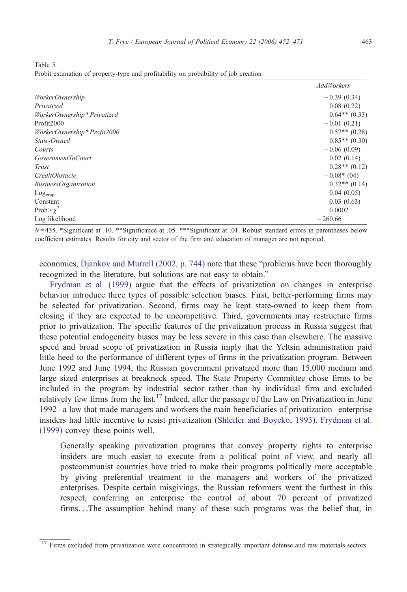<span id="page-11-0"></span>

| Table 5 |                                                                                     |  |  |
|---------|-------------------------------------------------------------------------------------|--|--|
|         | Probit estimation of property-type and profitability on probability of job creation |  |  |

|                             | <b>AddWorkers</b> |
|-----------------------------|-------------------|
| WorkerOwnership             | $-0.39(0.34)$     |
| Privatized                  | 0.08(0.22)        |
| WorkerOwnership*Privatized  | $-0.64**$ (0.33)  |
| Profit2000                  | $-0.01(0.21)$     |
| WorkerOwnership*Profit2000  | $0.57**$ (0.28)   |
| State-Owned                 | $-0.85**$ (0.30)  |
| Courts                      | $-0.06(0.09)$     |
| GovernmentToCourt           | 0.02(0.14)        |
| Trust                       | $0.28**$ (0.12)   |
| CreditObstacle              | $-0.08*(04)$      |
| <b>BusinessOrganization</b> | $0.32**$ (0.14)   |
| $Log_{emp}$                 | 0.04(0.05)        |
| Constant                    | 0.03(0.63)        |
| Prob > $\gamma^2$           | 0.0002            |
| Log likelihood              | $-260.66$         |

 $N=435$ . \*Significant at .10. \*\*Significance at .05. \*\*\*Significant at .01. Robust standard errors in parentheses below coefficient estimates. Results for city and sector of the firm and education of manager are not reported.

economies, Djankov and Murrell  $(2002, p. 744)$  note that these "problems have been thoroughly recognized in the literature, but solutions are not easy to obtain."

[Frydman et al. \(1999\)](#page-18-0) argue that the effects of privatization on changes in enterprise behavior introduce three types of possible selection biases. First, better-performing firms may be selected for privatization. Second, firms may be kept state-owned to keep them from closing if they are expected to be uncompetitive. Third, governments may restructure firms prior to privatization. The specific features of the privatization process in Russia suggest that these potential endogeneity biases may be less severe in this case than elsewhere. The massive speed and broad scope of privatization in Russia imply that the Yeltsin administration paid little heed to the performance of different types of firms in the privatization program. Between June 1992 and June 1994, the Russian government privatized more than 15,000 medium and large sized enterprises at breakneck speed. The State Property Committee chose firms to be included in the program by industrial sector rather than by individual firm and excluded relatively few firms from the list.<sup>17</sup> Indeed, after the passage of the Law on Privatization in June 1992 –a law that made managers and workers the main beneficiaries of privatization –enterprise insiders had little incentive to resist privatization ([Shleifer and Boycko, 1993\).](#page-19-0) [Frydman et al.](#page-18-0) (1999) convey these points well.

Generally speaking privatization programs that convey property rights to enterprise insiders are much easier to execute from a political point of view, and nearly all postcommunist countries have tried to make their programs politically more acceptable by giving preferential treatment to the managers and workers of the privatized enterprises. Despite certain misgivings, the Russian reformers went the furthest in this respect, conferring on enterprise the control of about 70 percent of privatized firms...The assumption behind many of these such programs was the belief that, in

<sup>&</sup>lt;sup>17</sup> Firms excluded from privatization were concentrated in strategically important defense and raw materials sectors.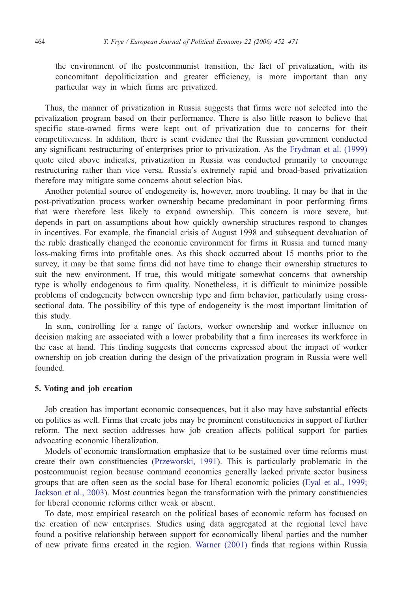the environment of the postcommunist transition, the fact of privatization, with its concomitant depoliticization and greater efficiency, is more important than any particular way in which firms are privatized.

Thus, the manner of privatization in Russia suggests that firms were not selected into the privatization program based on their performance. There is also little reason to believe that specific state-owned firms were kept out of privatization due to concerns for their competitiveness. In addition, there is scant evidence that the Russian government conducted any significant restructuring of enterprises prior to privatization. As the [Frydman et al. \(1999\)](#page-18-0) quote cited above indicates, privatization in Russia was conducted primarily to encourage restructuring rather than vice versa. Russia's extremely rapid and broad-based privatization therefore may mitigate some concerns about selection bias.

Another potential source of endogeneity is, however, more troubling. It may be that in the post-privatization process worker ownership became predominant in poor performing firms that were therefore less likely to expand ownership. This concern is more severe, but depends in part on assumptions about how quickly ownership structures respond to changes in incentives. For example, the financial crisis of August 1998 and subsequent devaluation of the ruble drastically changed the economic environment for firms in Russia and turned many loss-making firms into profitable ones. As this shock occurred about 15 months prior to the survey, it may be that some firms did not have time to change their ownership structures to suit the new environment. If true, this would mitigate somewhat concerns that ownership type is wholly endogenous to firm quality. Nonetheless, it is difficult to minimize possible problems of endogeneity between ownership type and firm behavior, particularly using crosssectional data. The possibility of this type of endogeneity is the most important limitation of this study.

In sum, controlling for a range of factors, worker ownership and worker influence on decision making are associated with a lower probability that a firm increases its workforce in the case at hand. This finding suggests that concerns expressed about the impact of worker ownership on job creation during the design of the privatization program in Russia were well founded.

## 5. Voting and job creation

Job creation has important economic consequences, but it also may have substantial effects on politics as well. Firms that create jobs may be prominent constituencies in support of further reform. The next section addresses how job creation affects political support for parties advocating economic liberalization.

Models of economic transformation emphasize that to be sustained over time reforms must create their own constituencies ([Przeworski, 1991\)](#page-19-0). This is particularly problematic in the postcommunist region because command economies generally lacked private sector business groups that are often seen as the social base for liberal economic policies ([Eyal et al., 1999;](#page-18-0) [Jackson et al., 2003\)](#page-18-0). Most countries began the transformation with the primary constituencies for liberal economic reforms either weak or absent.

To date, most empirical research on the political bases of economic reform has focused on the creation of new enterprises. Studies using data aggregated at the regional level have found a positive relationship between support for economically liberal parties and the number of new private firms created in the region. [Warner \(2001\)](#page-19-0) finds that regions within Russia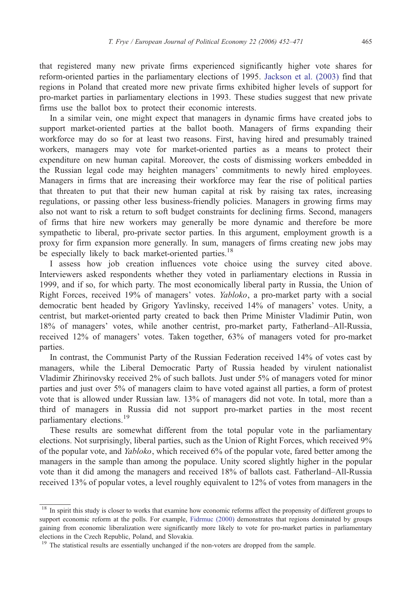that registered many new private firms experienced significantly higher vote shares for reform-oriented parties in the parliamentary elections of 1995. [Jackson et al. \(2003\)](#page-18-0) find that regions in Poland that created more new private firms exhibited higher levels of support for pro-market parties in parliamentary elections in 1993. These studies suggest that new private firms use the ballot box to protect their economic interests.

In a similar vein, one might expect that managers in dynamic firms have created jobs to support market-oriented parties at the ballot booth. Managers of firms expanding their workforce may do so for at least two reasons. First, having hired and presumably trained workers, managers may vote for market-oriented parties as a means to protect their expenditure on new human capital. Moreover, the costs of dismissing workers embedded in the Russian legal code may heighten managers' commitments to newly hired employees. Managers in firms that are increasing their workforce may fear the rise of political parties that threaten to put that their new human capital at risk by raising tax rates, increasing regulations, or passing other less business-friendly policies. Managers in growing firms may also not want to risk a return to soft budget constraints for declining firms. Second, managers of firms that hire new workers may generally be more dynamic and therefore be more sympathetic to liberal, pro-private sector parties. In this argument, employment growth is a proxy for firm expansion more generally. In sum, managers of firms creating new jobs may be especially likely to back market-oriented parties.<sup>18</sup>

I assess how job creation influences vote choice using the survey cited above. Interviewers asked respondents whether they voted in parliamentary elections in Russia in 1999, and if so, for which party. The most economically liberal party in Russia, the Union of Right Forces, received 19% of managers' votes. Yabloko, a pro-market party with a social democratic bent headed by Grigory Yavlinsky, received 14% of managers' votes. Unity, a centrist, but market-oriented party created to back then Prime Minister Vladimir Putin, won 18% of managers' votes, while another centrist, pro-market party, Fatherland–All-Russia, received 12% of managers' votes. Taken together, 63% of managers voted for pro-market parties.

In contrast, the Communist Party of the Russian Federation received 14% of votes cast by managers, while the Liberal Democratic Party of Russia headed by virulent nationalist Vladimir Zhirinovsky received 2% of such ballots. Just under 5% of managers voted for minor parties and just over 5% of managers claim to have voted against all parties, a form of protest vote that is allowed under Russian law. 13% of managers did not vote. In total, more than a third of managers in Russia did not support pro-market parties in the most recent parliamentary elections.<sup>19</sup>

These results are somewhat different from the total popular vote in the parliamentary elections. Not surprisingly, liberal parties, such as the Union of Right Forces, which received 9% of the popular vote, and Yabloko, which received 6% of the popular vote, fared better among the managers in the sample than among the populace. Unity scored slightly higher in the popular vote than it did among the managers and received 18% of ballots cast. Fatherland–All-Russia received 13% of popular votes, a level roughly equivalent to 12% of votes from managers in the

<sup>&</sup>lt;sup>18</sup> In spirit this study is closer to works that examine how economic reforms affect the propensity of different groups to support economic reform at the polls. For example, [Fidrmuc \(2000\)](#page-18-0) demonstrates that regions dominated by groups gaining from economic liberalization were significantly more likely to vote for pro-market parties in parliamentary elections in the Czech Republic, Poland, and Slovakia.

<sup>&</sup>lt;sup>19</sup> The statistical results are essentially unchanged if the non-voters are dropped from the sample.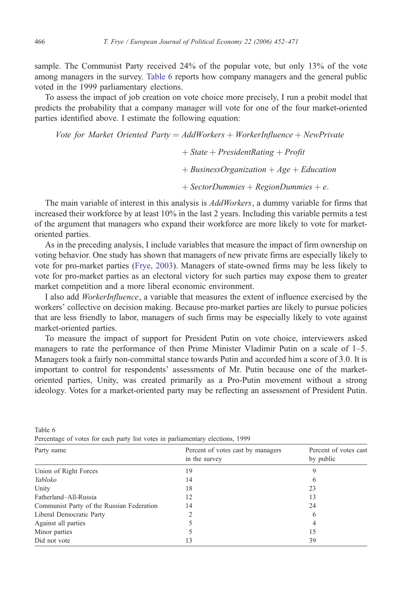sample. The Communist Party received 24% of the popular vote, but only 13% of the vote among managers in the survey. Table 6 reports how company managers and the general public voted in the 1999 parliamentary elections.

To assess the impact of job creation on vote choice more precisely, I run a probit model that predicts the probability that a company manager will vote for one of the four market-oriented parties identified above. I estimate the following equation:

Vote for Market Oriented Party = AddWorkers + WorkerInfluence + NewPrivate  $+ State + PresidentRating + Profit$  $\dot{B}$ usinessOrganization  $\dot{A}$ ge  $\dot{B}$ Education

 $+$  SectorDummies  $+$  RegionDummies  $+$  e.

The main variable of interest in this analysis is *AddWorkers*, a dummy variable for firms that increased their workforce by at least 10% in the last 2 years. Including this variable permits a test of the argument that managers who expand their workforce are more likely to vote for marketoriented parties.

As in the preceding analysis, I include variables that measure the impact of firm ownership on voting behavior. One study has shown that managers of new private firms are especially likely to vote for pro-market parties [\(Frye, 2003\).](#page-18-0) Managers of state-owned firms may be less likely to vote for pro-market parties as an electoral victory for such parties may expose them to greater market competition and a more liberal economic environment.

I also add WorkerInfluence, a variable that measures the extent of influence exercised by the workers' collective on decision making. Because pro-market parties are likely to pursue policies that are less friendly to labor, managers of such firms may be especially likely to vote against market-oriented parties.

To measure the impact of support for President Putin on vote choice, interviewers asked managers to rate the performance of then Prime Minister Vladimir Putin on a scale of 1–5. Managers took a fairly non-committal stance towards Putin and accorded him a score of 3.0. It is important to control for respondents' assessments of Mr. Putin because one of the marketoriented parties, Unity, was created primarily as a Pro-Putin movement without a strong ideology. Votes for a market-oriented party may be reflecting an assessment of President Putin.

| Party name                                | Percent of votes cast by managers<br>in the survey | Percent of votes cast<br>by public |  |
|-------------------------------------------|----------------------------------------------------|------------------------------------|--|
| Union of Right Forces                     | 19                                                 | 9                                  |  |
| Yabloko                                   | 14                                                 | <sub>(</sub>                       |  |
| Unity                                     | 18                                                 | 23                                 |  |
| Fatherland–All-Russia                     | 12                                                 | 13                                 |  |
| Communist Party of the Russian Federation | 14                                                 | 24                                 |  |
| Liberal Democratic Party                  |                                                    | 6                                  |  |
| Against all parties                       |                                                    | 4                                  |  |
| Minor parties                             |                                                    | 15                                 |  |
| Did not vote                              | 13                                                 | 39                                 |  |

Table 6 Percentage of votes for each party list votes in parliamentary elections, 1999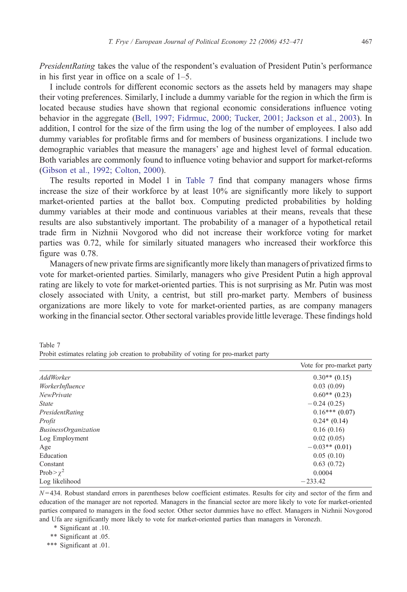<span id="page-15-0"></span>PresidentRating takes the value of the respondent's evaluation of President Putin's performance in his first year in office on a scale of 1–5.

I include controls for different economic sectors as the assets held by managers may shape their voting preferences. Similarly, I include a dummy variable for the region in which the firm is located because studies have shown that regional economic considerations influence voting behavior in the aggregate [\(Bell, 1997; Fidrmuc, 2000;](#page-18-0) [Tucker, 2001;](#page-19-0) [Jackson et al., 2003\)](#page-18-0). In addition, I control for the size of the firm using the log of the number of employees. I also add dummy variables for profitable firms and for members of business organizations. I include two demographic variables that measure the managers' age and highest level of formal education. Both variables are commonly found to influence voting behavior and support for market-reforms [\(Gibson et al., 1992;](#page-18-0) [Colton, 2000\)](#page-18-0).

The results reported in Model 1 in Table 7 find that company managers whose firms increase the size of their workforce by at least 10% are significantly more likely to support market-oriented parties at the ballot box. Computing predicted probabilities by holding dummy variables at their mode and continuous variables at their means, reveals that these results are also substantively important. The probability of a manager of a hypothetical retail trade firm in Nizhnii Novgorod who did not increase their workforce voting for market parties was 0.72, while for similarly situated managers who increased their workforce this figure was 0.78.

Managers of new private firms are significantly more likely than managers of privatized firms to vote for market-oriented parties. Similarly, managers who give President Putin a high approval rating are likely to vote for market-oriented parties. This is not surprising as Mr. Putin was most closely associated with Unity, a centrist, but still pro-market party. Members of business organizations are more likely to vote for market-oriented parties, as are company managers working in the financial sector. Other sectoral variables provide little leverage. These findings hold

|                             | Vote for pro-market party |
|-----------------------------|---------------------------|
| <b>AddWorker</b>            | $0.30**$ (0.15)           |
| WorkerInfluence             | 0.03(0.09)                |
| <b>NewPrivate</b>           | $0.60**$ (0.23)           |
| <b>State</b>                | $-0.24(0.25)$             |
| PresidentRating             | $0.16***(0.07)$           |
| Profit                      | $0.24*(0.14)$             |
| <b>BusinessOrganization</b> | 0.16(0.16)                |
| Log Employment              | 0.02(0.05)                |
| Age                         | $-0.03**$ (0.01)          |
| Education                   | 0.05(0.10)                |
| Constant                    | 0.63(0.72)                |
| Prob > $\gamma^2$           | 0.0004                    |
| Log likelihood              | $-233.42$                 |

Table 7 Probit estimates relating job creation to probability of voting for pro-market party

 $N=434$ . Robust standard errors in parentheses below coefficient estimates. Results for city and sector of the firm and education of the manager are not reported. Managers in the financial sector are more likely to vote for market-oriented parties compared to managers in the food sector. Other sector dummies have no effect. Managers in Nizhnii Novgorod and Ufa are significantly more likely to vote for market-oriented parties than managers in Voronezh.

\* Significant at .10.

\*\* Significant at .05.

\*\*\* Significant at .01.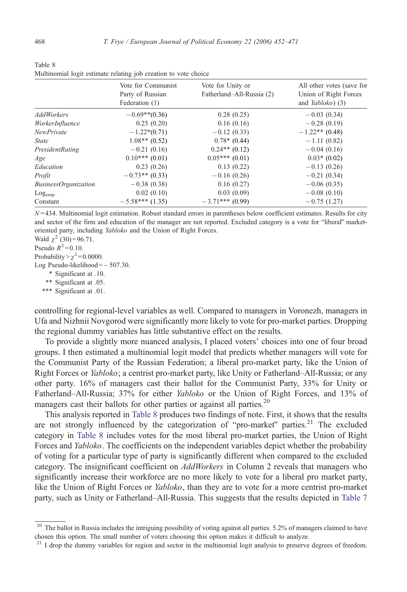|                             | Vote for Communist<br>Party of Russian<br>Federation (1) | Vote for Unity or<br>Fatherland–All-Russia (2) | All other votes (save for<br>Union of Right Forces<br>and Yabloko) (3) |  |  |
|-----------------------------|----------------------------------------------------------|------------------------------------------------|------------------------------------------------------------------------|--|--|
| <b>AddWorkers</b>           | $-0.69**$ (0.36)                                         | 0.28(0.25)                                     | $-0.03(0.34)$                                                          |  |  |
| WorkerInfluence             | 0.25(0.20)                                               | 0.16(0.16)                                     | $-0.28(0.19)$                                                          |  |  |
| <b>NewPrivate</b>           | $-1.22*(0.71)$                                           | $-0.12(0.33)$                                  | $-1.22**$ (0.48)                                                       |  |  |
| <i>State</i>                | $1.08**$ (0.52)                                          | $0.78*(0.44)$                                  | $-1.11(0.82)$                                                          |  |  |
| PresidentRating             | $-0.21(0.16)$                                            | $0.24**$ (0.12)                                | $-0.04(0.16)$                                                          |  |  |
| Age                         | $0.10***(0.01)$                                          | $0.05***(0.01)$                                | $0.03*(0.02)$                                                          |  |  |
| Education                   | 0.23(0.26)                                               | 0.13(0.22)                                     | $-0.13(0.26)$                                                          |  |  |
| Profit                      | $-0.73**$ (0.33)                                         | $-0.16(0.26)$                                  | $-0.21(0.34)$                                                          |  |  |
| <i>BusinessOrganization</i> | $-0.38(0.38)$                                            | 0.16(0.27)                                     | $-0.06(0.35)$                                                          |  |  |
| $Log_{emp}$                 | 0.02(0.10)                                               | 0.03(0.09)                                     | $-0.08(0.10)$                                                          |  |  |
| Constant                    | $-5.58***(1.35)$                                         | $-3.71***(0.99)$                               | $-0.75(1.27)$                                                          |  |  |

| Table 8                                                         |  |  |  |  |
|-----------------------------------------------------------------|--|--|--|--|
| Multinomial logit estimate relating job creation to vote choice |  |  |  |  |

 $N = 434$ . Multinomial logit estimation. Robust standard errors in parentheses below coefficient estimates. Results for city and sector of the firm and education of the manager are not reported. Excluded category is a vote for "liberal" marketoriented party, including Yabloko and the Union of Right Forces.

Wald  $\gamma^2$  (30)=96.71.

Pseudo  $R^2 = 0.10$ .

Probability >  $\chi^2$  = 0.0000.

Log Pseudo-likelihood=-507.30.

\* Significant at .10.

\*\* Significant at .05.

\*\*\* Significant at .01.

controlling for regional-level variables as well. Compared to managers in Voronezh, managers in Ufa and Nizhnii Novgorod were significantly more likely to vote for pro-market parties. Dropping the regional dummy variables has little substantive effect on the results.

To provide a slightly more nuanced analysis, I placed voters' choices into one of four broad groups. I then estimated a multinomial logit model that predicts whether managers will vote for the Communist Party of the Russian Federation; a liberal pro-market party, like the Union of Right Forces or *Yabloko*; a centrist pro-market party, like Unity or Fatherland–All-Russia; or any other party. 16% of managers cast their ballot for the Communist Party, 33% for Unity or Fatherland–All-Russia; 37% for either Yabloko or the Union of Right Forces, and 13% of managers cast their ballots for other parties or against all parties.<sup>20</sup>

This analysis reported in Table 8 produces two findings of note. First, it shows that the results are not strongly influenced by the categorization of "pro-market" parties.<sup>21</sup> The excluded category in Table 8 includes votes for the most liberal pro-market parties, the Union of Right Forces and *Yabloko*. The coefficients on the independent variables depict whether the probability of voting for a particular type of party is significantly different when compared to the excluded category. The insignificant coefficient on *AddWorkers* in Column 2 reveals that managers who significantly increase their workforce are no more likely to vote for a liberal pro market party, like the Union of Right Forces or *Yabloko*, than they are to vote for a more centrist pro-market party, such as Unity or Fatherland–All-Russia. This suggests that the results depicted in [Table 7](#page-15-0)

 $\frac{20}{20}$  The ballot in Russia includes the intriguing possibility of voting against all parties. 5.2% of managers claimed to have chosen this option. The small number of voters choosing this option makes it difficult to analyze.

 $2<sup>1</sup>$  I drop the dummy variables for region and sector in the multinomial logit analysis to preserve degrees of freedom.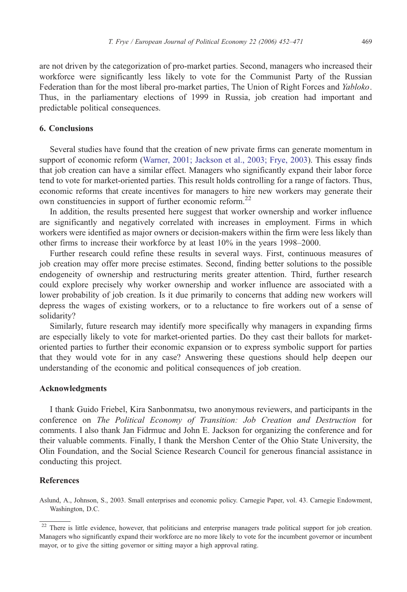<span id="page-17-0"></span>are not driven by the categorization of pro-market parties. Second, managers who increased their workforce were significantly less likely to vote for the Communist Party of the Russian Federation than for the most liberal pro-market parties, The Union of Right Forces and Yabloko. Thus, in the parliamentary elections of 1999 in Russia, job creation had important and predictable political consequences.

## 6. Conclusions

Several studies have found that the creation of new private firms can generate momentum in support of economic reform [\(Warner, 2001;](#page-19-0) [Jackson et al., 2003;](#page-18-0) [Frye, 2003\)](#page-18-0). This essay finds that job creation can have a similar effect. Managers who significantly expand their labor force tend to vote for market-oriented parties. This result holds controlling for a range of factors. Thus, economic reforms that create incentives for managers to hire new workers may generate their own constituencies in support of further economic reform.<sup>22</sup>

In addition, the results presented here suggest that worker ownership and worker influence are significantly and negatively correlated with increases in employment. Firms in which workers were identified as major owners or decision-makers within the firm were less likely than other firms to increase their workforce by at least 10% in the years 1998–2000.

Further research could refine these results in several ways. First, continuous measures of job creation may offer more precise estimates. Second, finding better solutions to the possible endogeneity of ownership and restructuring merits greater attention. Third, further research could explore precisely why worker ownership and worker influence are associated with a lower probability of job creation. Is it due primarily to concerns that adding new workers will depress the wages of existing workers, or to a reluctance to fire workers out of a sense of solidarity?

Similarly, future research may identify more specifically why managers in expanding firms are especially likely to vote for market-oriented parties. Do they cast their ballots for marketoriented parties to further their economic expansion or to express symbolic support for parties that they would vote for in any case? Answering these questions should help deepen our understanding of the economic and political consequences of job creation.

#### Acknowledgments

I thank Guido Friebel, Kira Sanbonmatsu, two anonymous reviewers, and participants in the conference on The Political Economy of Transition: Job Creation and Destruction for comments. I also thank Jan Fidrmuc and John E. Jackson for organizing the conference and for their valuable comments. Finally, I thank the Mershon Center of the Ohio State University, the Olin Foundation, and the Social Science Research Council for generous financial assistance in conducting this project.

## References

Aslund, A., Johnson, S., 2003. Small enterprises and economic policy. Carnegie Paper, vol. 43. Carnegie Endowment, Washington, D.C.

 $22$  There is little evidence, however, that politicians and enterprise managers trade political support for job creation. Managers who significantly expand their workforce are no more likely to vote for the incumbent governor or incumbent mayor, or to give the sitting governor or sitting mayor a high approval rating.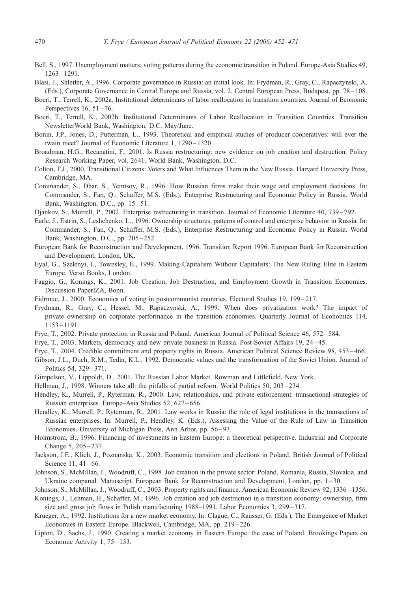- <span id="page-18-0"></span>Bell, S., 1997. Unemployment matters: voting patterns during the economic transition in Poland. Europe-Asia Studies 49, 1263 – 1291.
- Blasi, J., Shleifer, A., 1996. Corporate governance in Russia: an initial look. In: Frydman, R., Gray, C., Rapaczynski, A. (Eds.), Corporate Governance in Central Europe and Russia, vol. 2. Central European Press, Budapest, pp. 78 – 108.
- Boeri, T., Terrell, K., 2002a. Institutional determinants of labor reallocation in transition countries. Journal of Economic Perspectives  $16, 51 - 76$ .
- Boeri, T., Terrell, K., 2002b. Institutional Determinants of Labor Reallocation in Transition Countries. Transition NewsletterWorld Bank, Washington, D.C. May/June.
- Bonin, J.P., Jones, D., Putterman, L., 1993. Theoretical and empirical studies of producer cooperatives: will ever the twain meet? Journal of Economic Literature 1, 1290-1320.
- Broadman, H.G., Recanatini, F., 2001. Is Russia restructuring: new evidence on job creation and destruction. Policy Research Working Paper, vol. 2641. World Bank, Washington, D.C.
- Colton, T.J., 2000. Transitional Citizens: Voters and What Influences Them in the New Russia. Harvard University Press, Cambridge, MA.
- Commander, S., Dhar, S., Yemtsov, R., 1996. How Russian firms make their wage and employment decisions. In: Commander, S., Fan, Q., Schaffer, M.S. (Eds.), Enterprise Restructuring and Economic Policy in Russia. World Bank, Washington, D.C., pp. 15-51.
- Djankov, S., Murrell, P., 2002. Enterprise restructuring in transition. Journal of Economic Literature 40, 739 792.
- Earle, J., Estrin, S., Leshchenko, L., 1996. Ownership structures, patterns of control and enterprise behavior in Russia. In: Commander, S., Fan, Q., Schaffer, M.S. (Eds.), Enterprise Restructuring and Economic Policy in Russia. World Bank, Washington, D.C., pp. 205 – 252.
- European Bank for Reconstruction and Development, 1996. Transition Report 1996. European Bank for Reconstruction and Development, London, UK.
- Eyal, G., Szelenyi, I., Townsley, E., 1999. Making Capitalism Without Capitalists: The New Ruling Elite in Eastern Europe. Verso Books, London.
- Faggio, G., Konings, K., 2001. Job Creation, Job Destruction, and Employment Growth in Transition Economies. Discussion PaperIZA, Bonn.
- Fidrmuc, J., 2000. Economics of voting in postcommunist countries. Electoral Studies 19, 199–217.
- Frydman, R., Gray, C., Hessel, M., Rapaczynski, A., 1999. When does privatization work? The impact of private ownership on corporate performance in the transition economies. Quarterly Journal of Economics 114, 1153 – 1191.
- Frye, T., 2002. Private protection in Russia and Poland. American Journal of Political Science 46, 572 584.
- Frye, T., 2003. Markets, democracy and new private business in Russia. Post-Soviet Affairs 19, 24 45.
- Frye, T., 2004. Credible commitment and property rights in Russia. American Political Science Review 98, 453 466.
- Gibson, J.L., Duch, R.M., Tedin, K.L., 1992. Democratic values and the transformation of the Soviet Union. Journal of Politics 54, 329-371.
- Gimpelson, V., Lippoldt, D., 2001. The Russian Labor Market. Rowman and Littlefield, New York.
- Hellman, J., 1998. Winners take all: the pitfalls of partial reform. World Politics 50, 203-234.
- Hendley, K., Murrell, P., Ryterman, R., 2000. Law, relationships, and private enforcement: transactional strategies of Russian enterprises. Europe–Asia Studies 52, 627 – 656.
- Hendley, K., Murrell, P., Ryterman, R., 2001. Law works in Russia: the role of legal institutions in the transactions of Russian enterprises. In: Murrell, P., Hendley, K. (Eds.), Assessing the Value of the Rule of Law in Transition Economies. University of Michigan Press, Ann Arbor, pp. 56–93.
- Holmstrom, B., 1996. Financing of investments in Eastern Europe: a theoretical perspective. Industrial and Corporate Change 5, 205 – 237.
- Jackson, J.E., Klich, J., Poznanska, K., 2003. Economic transition and elections in Poland. British Journal of Political Science 11,  $41 - 66$ .
- Johnson, S., McMillan, J., Woodruff, C., 1998. Job creation in the private sector: Poland, Romania, Russia, Slovakia, and Ukraine compared. Manuscript. European Bank for Reconstruction and Development, London, pp. 1 – 30.
- Johnson, S., McMillan, J., Woodruff, C., 2003. Property rights and finance. American Economic Review 92, 1336 1356.
- Konings, J., Lehman, H., Schaffer, M., 1996. Job creation and job destruction in a transition economy: ownership, firm size and gross job flows in Polish manufacturing 1988–1991. Labor Economics 3, 299 – 317.
- Krueger, A., 1992. Institutions for a new market economy. In: Clague, C., Rausser, G. (Eds.), The Emergence of Market Economies in Eastern Europe. Blackwell, Cambridge, MA, pp. 219 – 226.
- Lipton, D., Sachs, J., 1990. Creating a market economy in Eastern Europe: the case of Poland. Brookings Papers on Economic Activity 1, 75–133.